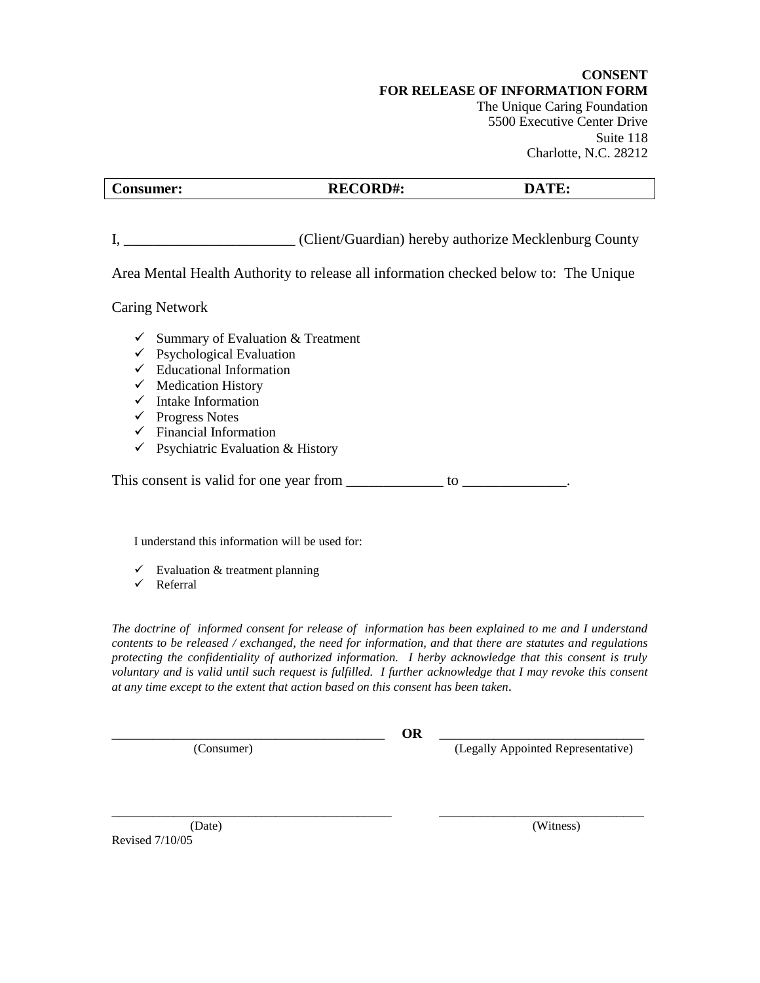**CONSENT FOR RELEASE OF INFORMATION FORM** The Unique Caring Foundation 5500 Executive Center Drive Suite 118 Charlotte, N.C. 28212

| $\sim$    |                         |              |
|-----------|-------------------------|--------------|
| Consumer: | <b>RECORD#:</b><br>reco | $\mathbf{L}$ |

I, \_\_\_\_\_\_\_\_\_\_\_\_\_\_\_\_\_\_\_\_\_\_\_ (Client/Guardian) hereby authorize Mecklenburg County

Area Mental Health Authority to release all information checked below to: The Unique

Caring Network

- $\checkmark$  Summary of Evaluation & Treatment
- $\checkmark$  Psychological Evaluation
- $\checkmark$  Educational Information
- $\checkmark$  Medication History
- $\checkmark$  Intake Information
- $\checkmark$  Progress Notes
- $\checkmark$  Financial Information
- $\checkmark$  Psychiatric Evaluation & History

This consent is valid for one year from to to the set of the set of the set of the set of the set of the set of the set of the set of the set of the set of the set of the set of the set of the set of the set of the set of

I understand this information will be used for:

- $\checkmark$  Evaluation & treatment planning
- $\checkmark$  Referral

*The doctrine of informed consent for release of information has been explained to me and I understand contents to be released / exchanged, the need for information, and that there are statutes and regulations protecting the confidentiality of authorized information. I herby acknowledge that this consent is truly voluntary and is valid until such request is fulfilled. I further acknowledge that I may revoke this consent at any time except to the extent that action based on this consent has been taken.*

\_\_\_\_\_\_\_\_\_\_\_\_\_\_\_\_\_\_\_\_\_\_\_\_\_\_\_\_\_\_\_\_\_\_\_\_\_\_\_\_ **OR** \_\_\_\_\_\_\_\_\_\_\_\_\_\_\_\_\_\_\_\_\_\_\_\_\_\_\_\_\_\_

(Consumer) (Legally Appointed Representative)

 (Date) (Witness) Revised 7/10/05

\_\_\_\_\_\_\_\_\_\_\_\_\_\_\_\_\_\_\_\_\_\_\_\_\_\_\_\_\_\_\_\_\_\_\_\_\_\_\_\_\_ \_\_\_\_\_\_\_\_\_\_\_\_\_\_\_\_\_\_\_\_\_\_\_\_\_\_\_\_\_\_